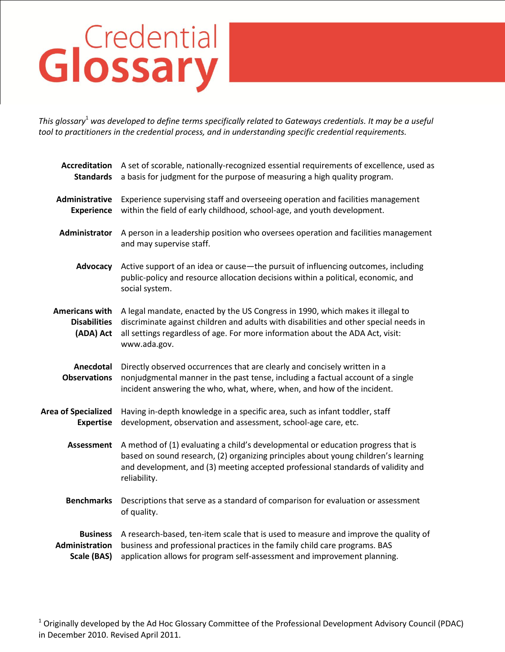## Glossary

*This glossary*<sup>1</sup> *was developed to define terms specifically related to Gateways credentials. It may be a useful tool to practitioners in the credential process, and in understanding specific credential requirements.*

| <b>Accreditation</b><br><b>Standards</b>                  | A set of scorable, nationally-recognized essential requirements of excellence, used as<br>a basis for judgment for the purpose of measuring a high quality program.                                                                                                        |
|-----------------------------------------------------------|----------------------------------------------------------------------------------------------------------------------------------------------------------------------------------------------------------------------------------------------------------------------------|
| Administrative<br><b>Experience</b>                       | Experience supervising staff and overseeing operation and facilities management<br>within the field of early childhood, school-age, and youth development.                                                                                                                 |
| Administrator                                             | A person in a leadership position who oversees operation and facilities management<br>and may supervise staff.                                                                                                                                                             |
| Advocacy                                                  | Active support of an idea or cause-the pursuit of influencing outcomes, including<br>public-policy and resource allocation decisions within a political, economic, and<br>social system.                                                                                   |
| <b>Americans with</b><br><b>Disabilities</b><br>(ADA) Act | A legal mandate, enacted by the US Congress in 1990, which makes it illegal to<br>discriminate against children and adults with disabilities and other special needs in<br>all settings regardless of age. For more information about the ADA Act, visit:<br>www.ada.gov.  |
| Anecdotal<br><b>Observations</b>                          | Directly observed occurrences that are clearly and concisely written in a<br>nonjudgmental manner in the past tense, including a factual account of a single<br>incident answering the who, what, where, when, and how of the incident.                                    |
| <b>Area of Specialized</b><br><b>Expertise</b>            | Having in-depth knowledge in a specific area, such as infant toddler, staff<br>development, observation and assessment, school-age care, etc.                                                                                                                              |
| <b>Assessment</b>                                         | A method of (1) evaluating a child's developmental or education progress that is<br>based on sound research, (2) organizing principles about young children's learning<br>and development, and (3) meeting accepted professional standards of validity and<br>reliability. |
| <b>Benchmarks</b>                                         | Descriptions that serve as a standard of comparison for evaluation or assessment<br>of quality.                                                                                                                                                                            |
| <b>Business</b><br>Administration<br>Scale (BAS)          | A research-based, ten-item scale that is used to measure and improve the quality of<br>business and professional practices in the family child care programs. BAS<br>application allows for program self-assessment and improvement planning.                              |

<sup>1</sup> Originally developed by the Ad Hoc Glossary Committee of the Professional Development Advisory Council (PDAC) in December 2010. Revised April 2011.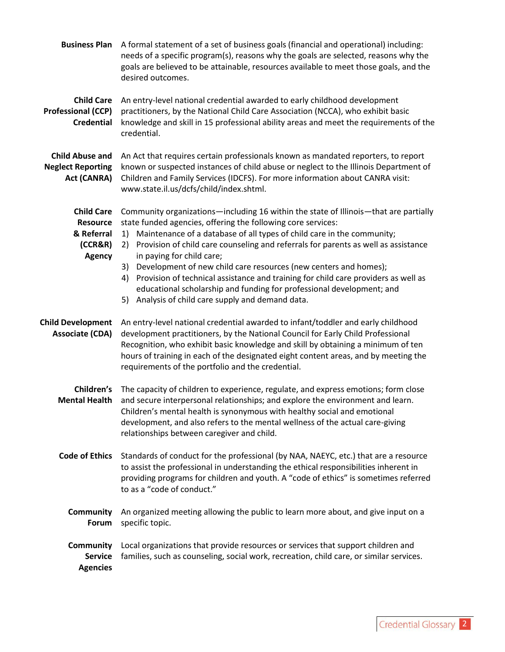| <b>Business Plan</b>                                                           | A formal statement of a set of business goals (financial and operational) including:<br>needs of a specific program(s), reasons why the goals are selected, reasons why the<br>goals are believed to be attainable, resources available to meet those goals, and the<br>desired outcomes.                                                                                                                                                                                                                                                                                                                                                                         |
|--------------------------------------------------------------------------------|-------------------------------------------------------------------------------------------------------------------------------------------------------------------------------------------------------------------------------------------------------------------------------------------------------------------------------------------------------------------------------------------------------------------------------------------------------------------------------------------------------------------------------------------------------------------------------------------------------------------------------------------------------------------|
| <b>Child Care</b><br><b>Professional (CCP)</b><br><b>Credential</b>            | An entry-level national credential awarded to early childhood development<br>practitioners, by the National Child Care Association (NCCA), who exhibit basic<br>knowledge and skill in 15 professional ability areas and meet the requirements of the<br>credential.                                                                                                                                                                                                                                                                                                                                                                                              |
| <b>Child Abuse and</b><br><b>Neglect Reporting</b><br>Act (CANRA)              | An Act that requires certain professionals known as mandated reporters, to report<br>known or suspected instances of child abuse or neglect to the Illinois Department of<br>Children and Family Services (IDCFS). For more information about CANRA visit:<br>www.state.il.us/dcfs/child/index.shtml.                                                                                                                                                                                                                                                                                                                                                             |
| <b>Child Care</b><br><b>Resource</b><br>& Referral<br>(CCR&R)<br><b>Agency</b> | Community organizations—including 16 within the state of Illinois—that are partially<br>state funded agencies, offering the following core services:<br>Maintenance of a database of all types of child care in the community;<br>1)<br>Provision of child care counseling and referrals for parents as well as assistance<br>2)<br>in paying for child care;<br>Development of new child care resources (new centers and homes);<br>3)<br>Provision of technical assistance and training for child care providers as well as<br>4)<br>educational scholarship and funding for professional development; and<br>5) Analysis of child care supply and demand data. |
| <b>Child Development</b><br><b>Associate (CDA)</b>                             | An entry-level national credential awarded to infant/toddler and early childhood<br>development practitioners, by the National Council for Early Child Professional<br>Recognition, who exhibit basic knowledge and skill by obtaining a minimum of ten<br>hours of training in each of the designated eight content areas, and by meeting the<br>requirements of the portfolio and the credential.                                                                                                                                                                                                                                                               |
| Children's<br><b>Mental Health</b>                                             | The capacity of children to experience, regulate, and express emotions; form close<br>and secure interpersonal relationships; and explore the environment and learn.<br>Children's mental health is synonymous with healthy social and emotional<br>development, and also refers to the mental wellness of the actual care-giving<br>relationships between caregiver and child.                                                                                                                                                                                                                                                                                   |
| <b>Code of Ethics</b>                                                          | Standards of conduct for the professional (by NAA, NAEYC, etc.) that are a resource<br>to assist the professional in understanding the ethical responsibilities inherent in<br>providing programs for children and youth. A "code of ethics" is sometimes referred<br>to as a "code of conduct."                                                                                                                                                                                                                                                                                                                                                                  |
| <b>Community</b><br>Forum                                                      | An organized meeting allowing the public to learn more about, and give input on a<br>specific topic.                                                                                                                                                                                                                                                                                                                                                                                                                                                                                                                                                              |
| <b>Community</b><br><b>Service</b><br><b>Agencies</b>                          | Local organizations that provide resources or services that support children and<br>families, such as counseling, social work, recreation, child care, or similar services.                                                                                                                                                                                                                                                                                                                                                                                                                                                                                       |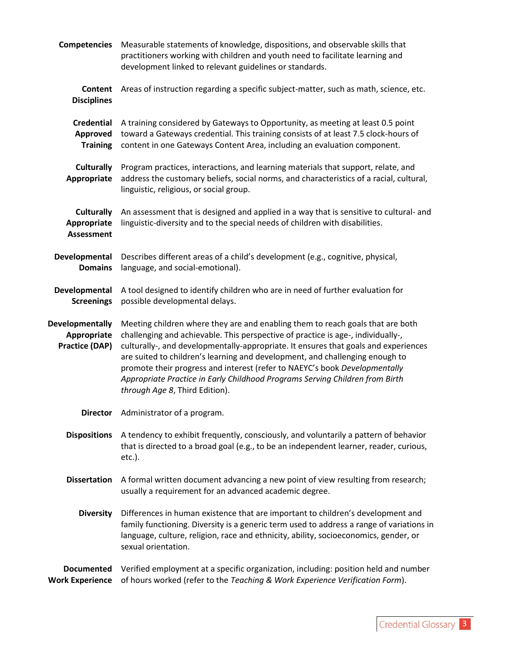| <b>Competencies</b>                                            | Measurable statements of knowledge, dispositions, and observable skills that<br>practitioners working with children and youth need to facilitate learning and<br>development linked to relevant guidelines or standards.                                                                                                                                                                                                                                                                                                                  |
|----------------------------------------------------------------|-------------------------------------------------------------------------------------------------------------------------------------------------------------------------------------------------------------------------------------------------------------------------------------------------------------------------------------------------------------------------------------------------------------------------------------------------------------------------------------------------------------------------------------------|
| <b>Content</b><br><b>Disciplines</b>                           | Areas of instruction regarding a specific subject-matter, such as math, science, etc.                                                                                                                                                                                                                                                                                                                                                                                                                                                     |
| <b>Credential</b><br>Approved<br><b>Training</b>               | A training considered by Gateways to Opportunity, as meeting at least 0.5 point<br>toward a Gateways credential. This training consists of at least 7.5 clock-hours of<br>content in one Gateways Content Area, including an evaluation component.                                                                                                                                                                                                                                                                                        |
| <b>Culturally</b><br>Appropriate                               | Program practices, interactions, and learning materials that support, relate, and<br>address the customary beliefs, social norms, and characteristics of a racial, cultural,<br>linguistic, religious, or social group.                                                                                                                                                                                                                                                                                                                   |
| <b>Culturally</b><br>Appropriate<br><b>Assessment</b>          | An assessment that is designed and applied in a way that is sensitive to cultural- and<br>linguistic-diversity and to the special needs of children with disabilities.                                                                                                                                                                                                                                                                                                                                                                    |
| Developmental<br><b>Domains</b>                                | Describes different areas of a child's development (e.g., cognitive, physical,<br>language, and social-emotional).                                                                                                                                                                                                                                                                                                                                                                                                                        |
| Developmental<br><b>Screenings</b>                             | A tool designed to identify children who are in need of further evaluation for<br>possible developmental delays.                                                                                                                                                                                                                                                                                                                                                                                                                          |
| <b>Developmentally</b><br>Appropriate<br><b>Practice (DAP)</b> | Meeting children where they are and enabling them to reach goals that are both<br>challenging and achievable. This perspective of practice is age-, individually-,<br>culturally-, and developmentally-appropriate. It ensures that goals and experiences<br>are suited to children's learning and development, and challenging enough to<br>promote their progress and interest (refer to NAEYC's book Developmentally<br>Appropriate Practice in Early Childhood Programs Serving Children from Birth<br>through Age 8, Third Edition). |
|                                                                | <b>Director</b> Administrator of a program.                                                                                                                                                                                                                                                                                                                                                                                                                                                                                               |
| <b>Dispositions</b>                                            | A tendency to exhibit frequently, consciously, and voluntarily a pattern of behavior<br>that is directed to a broad goal (e.g., to be an independent learner, reader, curious,<br>$etc.$ ).                                                                                                                                                                                                                                                                                                                                               |
| <b>Dissertation</b>                                            | A formal written document advancing a new point of view resulting from research;<br>usually a requirement for an advanced academic degree.                                                                                                                                                                                                                                                                                                                                                                                                |
| <b>Diversity</b>                                               | Differences in human existence that are important to children's development and<br>family functioning. Diversity is a generic term used to address a range of variations in<br>language, culture, religion, race and ethnicity, ability, socioeconomics, gender, or<br>sexual orientation.                                                                                                                                                                                                                                                |
| <b>Documented</b><br><b>Work Experience</b>                    | Verified employment at a specific organization, including: position held and number<br>of hours worked (refer to the Teaching & Work Experience Verification Form).                                                                                                                                                                                                                                                                                                                                                                       |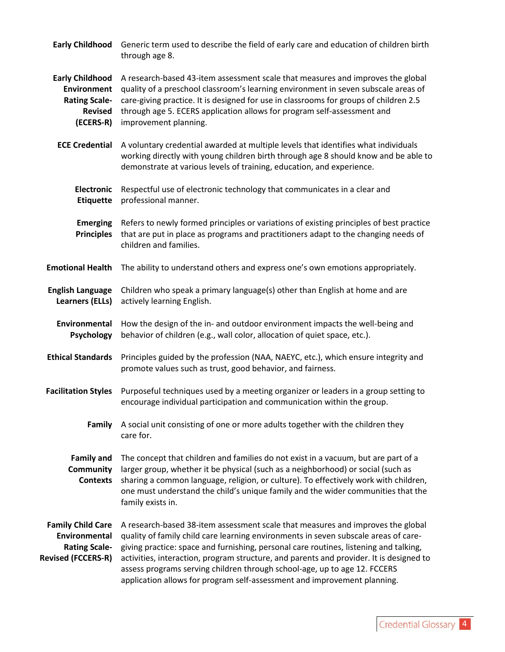| Generic term used to describe the field of early care and education of children birth<br>through age 8.                                                                                                                                                                                                                                                                                                                                                                                                             |
|---------------------------------------------------------------------------------------------------------------------------------------------------------------------------------------------------------------------------------------------------------------------------------------------------------------------------------------------------------------------------------------------------------------------------------------------------------------------------------------------------------------------|
| A research-based 43-item assessment scale that measures and improves the global<br>quality of a preschool classroom's learning environment in seven subscale areas of<br>care-giving practice. It is designed for use in classrooms for groups of children 2.5<br>through age 5. ECERS application allows for program self-assessment and<br>improvement planning.                                                                                                                                                  |
| A voluntary credential awarded at multiple levels that identifies what individuals<br>working directly with young children birth through age 8 should know and be able to<br>demonstrate at various levels of training, education, and experience.                                                                                                                                                                                                                                                                  |
| Respectful use of electronic technology that communicates in a clear and<br>professional manner.                                                                                                                                                                                                                                                                                                                                                                                                                    |
| Refers to newly formed principles or variations of existing principles of best practice<br>that are put in place as programs and practitioners adapt to the changing needs of<br>children and families.                                                                                                                                                                                                                                                                                                             |
| The ability to understand others and express one's own emotions appropriately.                                                                                                                                                                                                                                                                                                                                                                                                                                      |
| Children who speak a primary language(s) other than English at home and are<br>actively learning English.                                                                                                                                                                                                                                                                                                                                                                                                           |
| How the design of the in- and outdoor environment impacts the well-being and<br>behavior of children (e.g., wall color, allocation of quiet space, etc.).                                                                                                                                                                                                                                                                                                                                                           |
| Principles guided by the profession (NAA, NAEYC, etc.), which ensure integrity and<br>promote values such as trust, good behavior, and fairness.                                                                                                                                                                                                                                                                                                                                                                    |
| Purposeful techniques used by a meeting organizer or leaders in a group setting to<br>encourage individual participation and communication within the group.                                                                                                                                                                                                                                                                                                                                                        |
| A social unit consisting of one or more adults together with the children they<br>care for.                                                                                                                                                                                                                                                                                                                                                                                                                         |
| The concept that children and families do not exist in a vacuum, but are part of a<br>larger group, whether it be physical (such as a neighborhood) or social (such as<br>sharing a common language, religion, or culture). To effectively work with children,<br>one must understand the child's unique family and the wider communities that the<br>family exists in.                                                                                                                                             |
| A research-based 38-item assessment scale that measures and improves the global<br>quality of family child care learning environments in seven subscale areas of care-<br>giving practice: space and furnishing, personal care routines, listening and talking,<br>activities, interaction, program structure, and parents and provider. It is designed to<br>assess programs serving children through school-age, up to age 12. FCCERS<br>application allows for program self-assessment and improvement planning. |
|                                                                                                                                                                                                                                                                                                                                                                                                                                                                                                                     |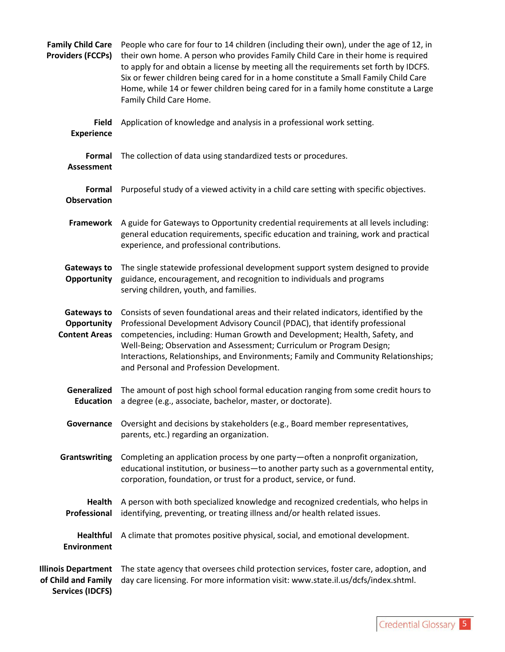| <b>Family Child Care</b><br><b>Providers (FCCPs)</b>                         | People who care for four to 14 children (including their own), under the age of 12, in<br>their own home. A person who provides Family Child Care in their home is required<br>to apply for and obtain a license by meeting all the requirements set forth by IDCFS.<br>Six or fewer children being cared for in a home constitute a Small Family Child Care<br>Home, while 14 or fewer children being cared for in a family home constitute a Large<br>Family Child Care Home. |
|------------------------------------------------------------------------------|---------------------------------------------------------------------------------------------------------------------------------------------------------------------------------------------------------------------------------------------------------------------------------------------------------------------------------------------------------------------------------------------------------------------------------------------------------------------------------|
| <b>Field</b><br><b>Experience</b>                                            | Application of knowledge and analysis in a professional work setting.                                                                                                                                                                                                                                                                                                                                                                                                           |
| <b>Formal</b><br><b>Assessment</b>                                           | The collection of data using standardized tests or procedures.                                                                                                                                                                                                                                                                                                                                                                                                                  |
| Formal<br><b>Observation</b>                                                 | Purposeful study of a viewed activity in a child care setting with specific objectives.                                                                                                                                                                                                                                                                                                                                                                                         |
| Framework                                                                    | A guide for Gateways to Opportunity credential requirements at all levels including:<br>general education requirements, specific education and training, work and practical<br>experience, and professional contributions.                                                                                                                                                                                                                                                      |
| Gateways to<br><b>Opportunity</b>                                            | The single statewide professional development support system designed to provide<br>guidance, encouragement, and recognition to individuals and programs<br>serving children, youth, and families.                                                                                                                                                                                                                                                                              |
| Gateways to<br>Opportunity<br><b>Content Areas</b>                           | Consists of seven foundational areas and their related indicators, identified by the<br>Professional Development Advisory Council (PDAC), that identify professional<br>competencies, including: Human Growth and Development; Health, Safety, and<br>Well-Being; Observation and Assessment; Curriculum or Program Design;<br>Interactions, Relationships, and Environments; Family and Community Relationships;<br>and Personal and Profession Development.                   |
| Generalized<br><b>Education</b>                                              | The amount of post high school formal education ranging from some credit hours to<br>a degree (e.g., associate, bachelor, master, or doctorate).                                                                                                                                                                                                                                                                                                                                |
| Governance                                                                   | Oversight and decisions by stakeholders (e.g., Board member representatives,<br>parents, etc.) regarding an organization.                                                                                                                                                                                                                                                                                                                                                       |
| Grantswriting                                                                | Completing an application process by one party-often a nonprofit organization,<br>educational institution, or business-to another party such as a governmental entity,<br>corporation, foundation, or trust for a product, service, or fund.                                                                                                                                                                                                                                    |
| Health<br>Professional                                                       | A person with both specialized knowledge and recognized credentials, who helps in<br>identifying, preventing, or treating illness and/or health related issues.                                                                                                                                                                                                                                                                                                                 |
| <b>Healthful</b><br><b>Environment</b>                                       | A climate that promotes positive physical, social, and emotional development.                                                                                                                                                                                                                                                                                                                                                                                                   |
| <b>Illinois Department</b><br>of Child and Family<br><b>Services (IDCFS)</b> | The state agency that oversees child protection services, foster care, adoption, and<br>day care licensing. For more information visit: www.state.il.us/dcfs/index.shtml.                                                                                                                                                                                                                                                                                                       |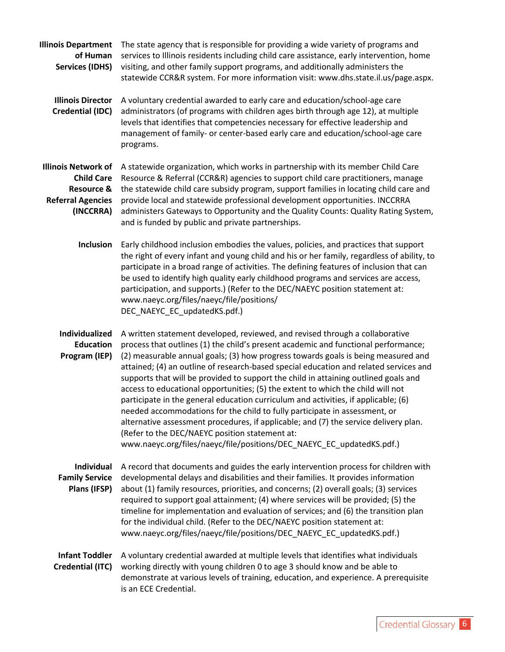**Illinois Department**  The state agency that is responsible for providing a wide variety of programs and **of Human**  services to Illinois residents including child care assistance, early intervention, home **Services (IDHS)** visiting, and other family support programs, and additionally administers the statewide CCR&R system. For more information visit: www.dhs.state.il.us/page.aspx.

- **Illinois Director**  A voluntary credential awarded to early care and education/school-age care Credential (IDC) administrators (of programs with children ages birth through age 12), at multiple levels that identifies that competencies necessary for effective leadership and management of family- or center-based early care and education/school-age care programs.
- **Illinois Network of**  A statewide organization, which works in partnership with its member Child Care **Child Care**  Resource & Referral (CCR&R) agencies to support child care practitioners, manage Resource & the statewide child care subsidy program, support families in locating child care and Referral Agencies provide local and statewide professional development opportunities. INCCRRA **(INCCRRA)** administers Gateways to Opportunity and the Quality Counts: Quality Rating System, and is funded by public and private partnerships.
	- **Inclusion** Early childhood inclusion embodies the values, policies, and practices that support the right of every infant and young child and his or her family, regardless of ability, to participate in a broad range of activities. The defining features of inclusion that can be used to identify high quality early childhood programs and services are access, participation, and supports.) (Refer to the DEC/NAEYC position statement at: www.naeyc.org/files/naeyc/file/positions/ DEC\_NAEYC\_EC\_updatedKS.pdf.)

**Individualized**  A written statement developed, reviewed, and revised through a collaborative **Education**  process that outlines (1) the child's present academic and functional performance; Program (IEP) (2) measurable annual goals; (3) how progress towards goals is being measured and attained; (4) an outline of research-based special education and related services and supports that will be provided to support the child in attaining outlined goals and access to educational opportunities; (5) the extent to which the child will not participate in the general education curriculum and activities, if applicable; (6) needed accommodations for the child to fully participate in assessment, or alternative assessment procedures, if applicable; and (7) the service delivery plan. (Refer to the DEC/NAEYC position statement at: www.naeyc.org/files/naeyc/file/positions/DEC\_NAEYC\_EC\_updatedKS.pdf.)

**Individual**  A record that documents and guides the early intervention process for children with **Family Service**  developmental delays and disabilities and their families. It provides information **Plans (IFSP)** about (1) family resources, priorities, and concerns; (2) overall goals; (3) services required to support goal attainment; (4) where services will be provided; (5) the timeline for implementation and evaluation of services; and (6) the transition plan for the individual child. (Refer to the DEC/NAEYC position statement at: www.naeyc.org/files/naeyc/file/positions/DEC\_NAEYC\_EC\_updatedKS.pdf.)

**Infant Toddler**  A voluntary credential awarded at multiple levels that identifies what individuals **Credential (ITC)** working directly with young children 0 to age 3 should know and be able to demonstrate at various levels of training, education, and experience. A prerequisite is an ECE Credential.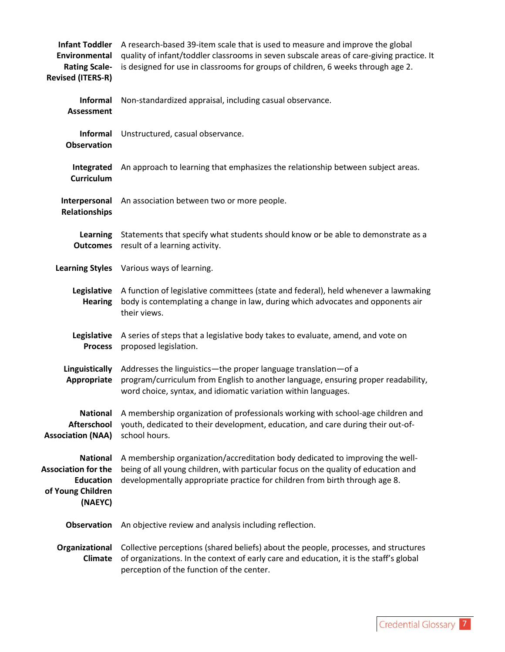| <b>Infant Toddler</b><br>Environmental<br><b>Rating Scale-</b><br><b>Revised (ITERS-R)</b>        | A research-based 39-item scale that is used to measure and improve the global<br>quality of infant/toddler classrooms in seven subscale areas of care-giving practice. It<br>is designed for use in classrooms for groups of children, 6 weeks through age 2. |
|---------------------------------------------------------------------------------------------------|---------------------------------------------------------------------------------------------------------------------------------------------------------------------------------------------------------------------------------------------------------------|
| Informal<br><b>Assessment</b>                                                                     | Non-standardized appraisal, including casual observance.                                                                                                                                                                                                      |
| Informal<br><b>Observation</b>                                                                    | Unstructured, casual observance.                                                                                                                                                                                                                              |
| Integrated<br><b>Curriculum</b>                                                                   | An approach to learning that emphasizes the relationship between subject areas.                                                                                                                                                                               |
| Interpersonal<br><b>Relationships</b>                                                             | An association between two or more people.                                                                                                                                                                                                                    |
| <b>Learning</b><br><b>Outcomes</b>                                                                | Statements that specify what students should know or be able to demonstrate as a<br>result of a learning activity.                                                                                                                                            |
| <b>Learning Styles</b>                                                                            | Various ways of learning.                                                                                                                                                                                                                                     |
| Legislative<br><b>Hearing</b>                                                                     | A function of legislative committees (state and federal), held whenever a lawmaking<br>body is contemplating a change in law, during which advocates and opponents air<br>their views.                                                                        |
| Legislative<br><b>Process</b>                                                                     | A series of steps that a legislative body takes to evaluate, amend, and vote on<br>proposed legislation.                                                                                                                                                      |
| Linguistically<br>Appropriate                                                                     | Addresses the linguistics-the proper language translation-of a<br>program/curriculum from English to another language, ensuring proper readability,<br>word choice, syntax, and idiomatic variation within languages.                                         |
| <b>National</b><br>Afterschool<br><b>Association (NAA)</b>                                        | A membership organization of professionals working with school-age children and<br>youth, dedicated to their development, education, and care during their out-of-<br>school hours.                                                                           |
| <b>National</b><br><b>Association for the</b><br><b>Education</b><br>of Young Children<br>(NAEYC) | A membership organization/accreditation body dedicated to improving the well-<br>being of all young children, with particular focus on the quality of education and<br>developmentally appropriate practice for children from birth through age 8.            |
| Observation                                                                                       | An objective review and analysis including reflection.                                                                                                                                                                                                        |
| Organizational<br><b>Climate</b>                                                                  | Collective perceptions (shared beliefs) about the people, processes, and structures<br>of organizations. In the context of early care and education, it is the staff's global<br>perception of the function of the center.                                    |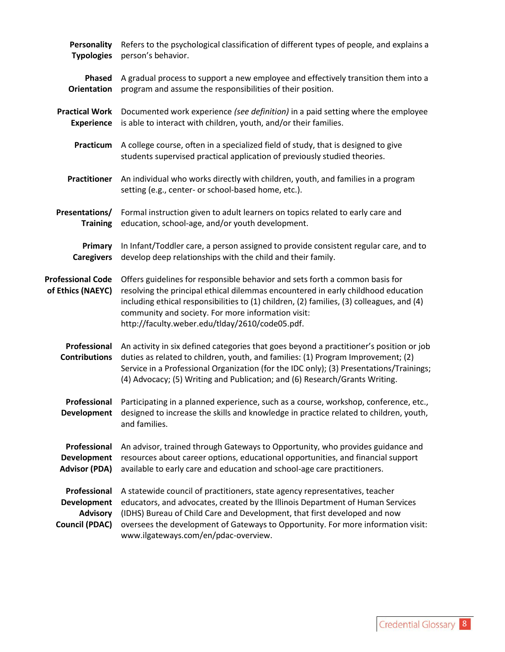| <b>Personality</b>                                                      | Refers to the psychological classification of different types of people, and explains a                                                                                                                                                                                                                                                                                 |
|-------------------------------------------------------------------------|-------------------------------------------------------------------------------------------------------------------------------------------------------------------------------------------------------------------------------------------------------------------------------------------------------------------------------------------------------------------------|
| <b>Typologies</b>                                                       | person's behavior.                                                                                                                                                                                                                                                                                                                                                      |
| <b>Phased</b>                                                           | A gradual process to support a new employee and effectively transition them into a                                                                                                                                                                                                                                                                                      |
| <b>Orientation</b>                                                      | program and assume the responsibilities of their position.                                                                                                                                                                                                                                                                                                              |
| <b>Practical Work</b>                                                   | Documented work experience (see definition) in a paid setting where the employee                                                                                                                                                                                                                                                                                        |
| <b>Experience</b>                                                       | is able to interact with children, youth, and/or their families.                                                                                                                                                                                                                                                                                                        |
| Practicum                                                               | A college course, often in a specialized field of study, that is designed to give<br>students supervised practical application of previously studied theories.                                                                                                                                                                                                          |
| <b>Practitioner</b>                                                     | An individual who works directly with children, youth, and families in a program<br>setting (e.g., center- or school-based home, etc.).                                                                                                                                                                                                                                 |
| Presentations/                                                          | Formal instruction given to adult learners on topics related to early care and                                                                                                                                                                                                                                                                                          |
| <b>Training</b>                                                         | education, school-age, and/or youth development.                                                                                                                                                                                                                                                                                                                        |
| Primary                                                                 | In Infant/Toddler care, a person assigned to provide consistent regular care, and to                                                                                                                                                                                                                                                                                    |
| <b>Caregivers</b>                                                       | develop deep relationships with the child and their family.                                                                                                                                                                                                                                                                                                             |
| <b>Professional Code</b><br>of Ethics (NAEYC)                           | Offers guidelines for responsible behavior and sets forth a common basis for<br>resolving the principal ethical dilemmas encountered in early childhood education<br>including ethical responsibilities to (1) children, (2) families, (3) colleagues, and (4)<br>community and society. For more information visit:<br>http://faculty.weber.edu/tlday/2610/code05.pdf. |
| Professional<br><b>Contributions</b>                                    | An activity in six defined categories that goes beyond a practitioner's position or job<br>duties as related to children, youth, and families: (1) Program Improvement; (2)<br>Service in a Professional Organization (for the IDC only); (3) Presentations/Trainings;<br>(4) Advocacy; (5) Writing and Publication; and (6) Research/Grants Writing.                   |
| Professional<br><b>Development</b>                                      | Participating in a planned experience, such as a course, workshop, conference, etc.,<br>designed to increase the skills and knowledge in practice related to children, youth,<br>and families.                                                                                                                                                                          |
| Professional                                                            | An advisor, trained through Gateways to Opportunity, who provides guidance and                                                                                                                                                                                                                                                                                          |
| Development                                                             | resources about career options, educational opportunities, and financial support                                                                                                                                                                                                                                                                                        |
| <b>Advisor (PDA)</b>                                                    | available to early care and education and school-age care practitioners.                                                                                                                                                                                                                                                                                                |
| Professional<br>Development<br><b>Advisory</b><br><b>Council (PDAC)</b> | A statewide council of practitioners, state agency representatives, teacher<br>educators, and advocates, created by the Illinois Department of Human Services<br>(IDHS) Bureau of Child Care and Development, that first developed and now<br>oversees the development of Gateways to Opportunity. For more information visit:<br>www.ilgateways.com/en/pdac-overview.  |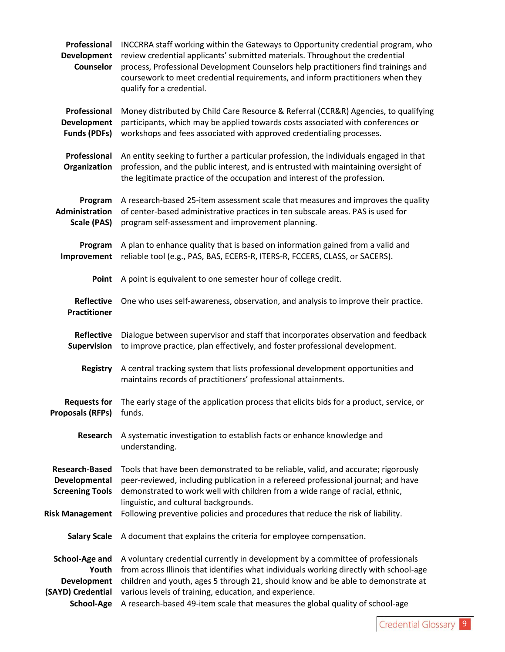| Professional<br><b>Development</b><br><b>Counselor</b>                           | INCCRRA staff working within the Gateways to Opportunity credential program, who<br>review credential applicants' submitted materials. Throughout the credential<br>process, Professional Development Counselors help practitioners find trainings and<br>coursework to meet credential requirements, and inform practitioners when they<br>qualify for a credential.                                    |
|----------------------------------------------------------------------------------|----------------------------------------------------------------------------------------------------------------------------------------------------------------------------------------------------------------------------------------------------------------------------------------------------------------------------------------------------------------------------------------------------------|
| Professional<br><b>Development</b><br><b>Funds (PDFs)</b>                        | Money distributed by Child Care Resource & Referral (CCR&R) Agencies, to qualifying<br>participants, which may be applied towards costs associated with conferences or<br>workshops and fees associated with approved credentialing processes.                                                                                                                                                           |
| Professional<br>Organization                                                     | An entity seeking to further a particular profession, the individuals engaged in that<br>profession, and the public interest, and is entrusted with maintaining oversight of<br>the legitimate practice of the occupation and interest of the profession.                                                                                                                                                |
| Program<br>Administration<br>Scale (PAS)                                         | A research-based 25-item assessment scale that measures and improves the quality<br>of center-based administrative practices in ten subscale areas. PAS is used for<br>program self-assessment and improvement planning.                                                                                                                                                                                 |
| Program<br>Improvement                                                           | A plan to enhance quality that is based on information gained from a valid and<br>reliable tool (e.g., PAS, BAS, ECERS-R, ITERS-R, FCCERS, CLASS, or SACERS).                                                                                                                                                                                                                                            |
| Point                                                                            | A point is equivalent to one semester hour of college credit.                                                                                                                                                                                                                                                                                                                                            |
| <b>Reflective</b><br><b>Practitioner</b>                                         | One who uses self-awareness, observation, and analysis to improve their practice.                                                                                                                                                                                                                                                                                                                        |
| <b>Reflective</b><br>Supervision                                                 | Dialogue between supervisor and staff that incorporates observation and feedback<br>to improve practice, plan effectively, and foster professional development.                                                                                                                                                                                                                                          |
| <b>Registry</b>                                                                  | A central tracking system that lists professional development opportunities and<br>maintains records of practitioners' professional attainments.                                                                                                                                                                                                                                                         |
| <b>Requests for</b><br>Proposals (RFPs) funds.                                   | The early stage of the application process that elicits bids for a product, service, or                                                                                                                                                                                                                                                                                                                  |
| <b>Research</b>                                                                  | A systematic investigation to establish facts or enhance knowledge and<br>understanding.                                                                                                                                                                                                                                                                                                                 |
| <b>Research-Based</b><br>Developmental<br><b>Screening Tools</b>                 | Tools that have been demonstrated to be reliable, valid, and accurate; rigorously<br>peer-reviewed, including publication in a refereed professional journal; and have<br>demonstrated to work well with children from a wide range of racial, ethnic,<br>linguistic, and cultural backgrounds.                                                                                                          |
| <b>Risk Management</b>                                                           | Following preventive policies and procedures that reduce the risk of liability.                                                                                                                                                                                                                                                                                                                          |
| <b>Salary Scale</b>                                                              | A document that explains the criteria for employee compensation.                                                                                                                                                                                                                                                                                                                                         |
| School-Age and<br>Youth<br><b>Development</b><br>(SAYD) Credential<br>School-Age | A voluntary credential currently in development by a committee of professionals<br>from across Illinois that identifies what individuals working directly with school-age<br>children and youth, ages 5 through 21, should know and be able to demonstrate at<br>various levels of training, education, and experience.<br>A research-based 49-item scale that measures the global quality of school-age |
|                                                                                  |                                                                                                                                                                                                                                                                                                                                                                                                          |